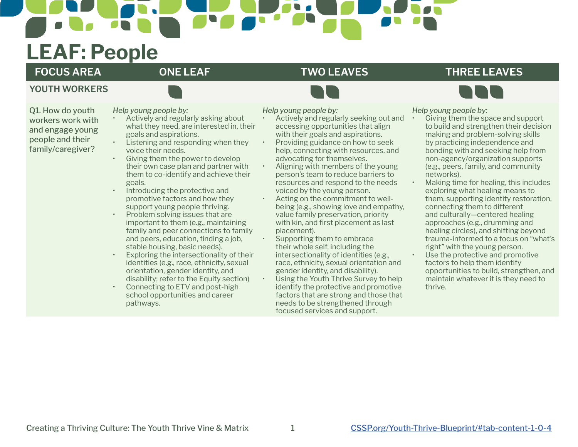# **LEAF: People**

**YOUTH WORKERS**

### **FOCUS AREA ONE LEAF TWO LEAVES THREE LEAVES**



*Help young people by:*

Q1. How do youth workers work with and engage young people and their family/caregiver?

*Help young people by:*

- Actively and regularly asking about what they need, are interested in, their goals and aspirations.
- Listening and responding when they voice their needs.
- Giving them the power to develop their own case plan and partner with them to co-identify and achieve their goals.
- Introducing the protective and promotive factors and how they support young people thriving.
- Problem solving issues that are important to them (e.g., maintaining family and peer connections to family and peers, education, finding a job, stable housing, basic needs).
- Exploring the intersectionality of their identities (e.g., race, ethnicity, sexual orientation, gender identity, and disability; refer to the Equity section)
- Connecting to ETV and post-high school opportunities and career pathways.

*Help young people by:*

- Actively and regularly seeking out and accessing opportunities that align with their goals and aspirations.
- Providing guidance on how to seek help, connecting with resources, and advocating for themselves.
- Aligning with members of the young person's team to reduce barriers to resources and respond to the needs voiced by the young person.
- Acting on the commitment to wellbeing (e.g., showing love and empathy, value family preservation, priority with kin, and first placement as last placement).
- Supporting them to embrace their whole self, including the intersectionality of identities (e.g., race, ethnicity, sexual orientation and gender identity, and disability).
- Using the Youth Thrive Survey to help identify the protective and promotive factors that are strong and those that needs to be strengthened through focused services and support.

Giving them the space and support to build and strengthen their decision making and problem-solving skills by practicing independence and bonding with and seeking help from non-agency/organization supports (e.g., peers, family, and community networks).

• Making time for healing, this includes exploring what healing means to them, supporting identity restoration, connecting them to different and culturally—centered healing approaches (e.g., drumming and healing circles), and shifting beyond trauma-informed to a focus on "what's right" with the young person. Use the protective and promotive

factors to help them identify opportunities to build, strengthen, and maintain whatever it is they need to thrive.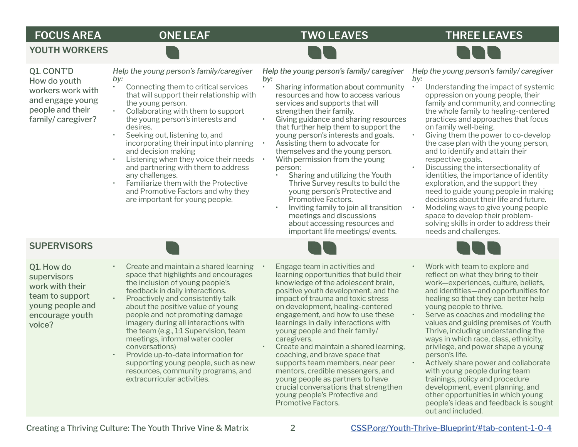### **FOCUS AREA ONE LEAF TWO LEAVES THREE LEAVES**



**YOUTH WORKERS**

Q1. CONT'D How do youth workers work with and engage young people and their family/ caregiver?

*Help the young person's family/caregiver by:* 

- Connecting them to critical services that will support their relationship with the young person.
- Collaborating with them to support the young person's interests and desires.
- Seeking out, listening to, and incorporating their input into planning and decision making
- Listening when they voice their needs and partnering with them to address any challenges.
- Familiarize them with the Protective and Promotive Factors and why they are important for young people.

*Help the young person's family/ caregiver by:* 

- Sharing information about community resources and how to access various services and supports that will strengthen their family.
	- Giving guidance and sharing resources that further help them to support the young person's interests and goals.
- Assisting them to advocate for themselves and the young person. • With permission from the young
	- person:
		- Sharing and utilizing the Youth Thrive Survey results to build the young person's Protective and Promotive Factors.
		- Inviting family to join all transition meetings and discussions about accessing resources and important life meetings/ events.

*Help the young person's family/ caregiver by:*

- Understanding the impact of systemic oppression on young people, their family and community, and connecting the whole family to healing-centered practices and approaches that focus on family well-being.
- Giving them the power to co-develop the case plan with the young person, and to identify and attain their respective goals.
- Discussing the intersectionality of identities, the importance of identity exploration, and the support they need to guide young people in making decisions about their life and future.
- Modeling ways to give young people space to develop their problemsolving skills in order to address their needs and challenges.

### **SUPERVISORS**

Q1. How do supervisors work with their team to support young people and encourage youth voice?

- Create and maintain a shared learning space that highlights and encourages the inclusion of young people's feedback in daily interactions.
- Proactively and consistently talk about the positive value of young people and not promoting damage imagery during all interactions with the team (e.g., 1:1 Supervision, team meetings, informal water cooler conversations)
- Provide up-to-date information for supporting young people, such as new resources, community programs, and extracurricular activities.
- Engage team in activities and learning opportunities that build their knowledge of the adolescent brain, positive youth development, and the impact of trauma and toxic stress on development, healing-centered engagement, and how to use these learnings in daily interactions with young people and their family/ caregivers.
- Create and maintain a shared learning, coaching, and brave space that supports team members, near peer mentors, credible messengers, and young people as partners to have crucial conversations that strengthen young people's Protective and Promotive Factors.
- Work with team to explore and reflect on what they bring to their work—experiences, culture, beliefs, and identities—and opportunities for healing so that they can better help young people to thrive.
- Serve as coaches and modeling the values and guiding premises of Youth Thrive, including understanding the ways in which race, class, ethnicity, privilege, and power shape a young person's life.
- Actively share power and collaborate with young people during team trainings, policy and procedure development, event planning, and other opportunities in which young people's ideas and feedback is sought out and included.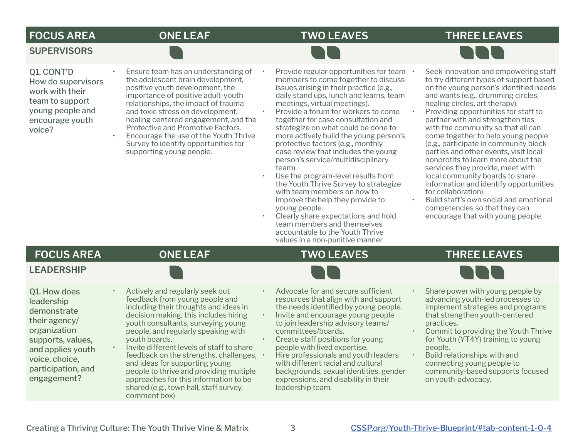## **FOCUS AREA ONE LEAF TWO LEAVES THREE LEAVES**

### **SUPERVISORS**

Q1. CONT'D How do supervisors work with their team to support young people and encourage youth voice?

- Ensure team has an understanding of the adolescent brain development, positive youth development, the importance of positive adult-youth relationships, the impact of trauma and toxic stress on development, healing centered engagement, and the Protective and Promotive Factors.
- Encourage the use of the Youth Thrive Survey to identify opportunities for supporting young people.
- Provide regular opportunities for team members to come together to discuss issues arising in their practice (e.g., daily stand ups, lunch and learns, team meetings, virtual meetings).
- Provide a forum for workers to come together for case consultation and strategize on what could be done to more actively build the young person's protective factors (e.g., monthly case review that includes the young person's service/multidisciplinary team).
- Use the program-level results from the Youth Thrive Survey to strategize with team members on how to improve the help they provide to young people.
- Clearly share expectations and hold team members and themselves accountable to the Youth Thrive values in a non-punitive manner.
- Seek innovation and empowering staff to try different types of support based on the young person's identified needs and wants (e.g., drumming circles, healing circles, art therapy).
- Providing opportunities for staff to partner with and strengthen ties with the community so that all can come together to help young people (e.g., participate in community block parties and other events, visit local nonprofits to learn more about the services they provide, meet with local community boards to share information and identify opportunities for collaboration).
- Build staff's own social and emotional competencies so that they can encourage that with young people.

### **FOCUS AREA ONE LEAF TWO LEAVES THREE LEAVES**

### **LEADERSHIP**

Q1. How does leadership demonstrate their agency/ organization supports, values, and applies youth voice, choice, participation, and engagement?



- Actively and regularly seek out feedback from young people and including their thoughts and ideas in decision making, this includes hiring youth consultants, surveying young people, and regularly speaking with youth boards.
- Invite different levels of staff to share feedback on the strengths, challenges,  $\cdot$ and ideas for supporting young people to thrive and providing multiple approaches for this information to be shared (e.g., town hall, staff survey, comment box)
- Advocate for and secure sufficient resources that align with and support the needs identified by young people.
- Invite and encourage young people to join leadership advisory teams/ committees/boards.
- Create staff positions for young people with lived expertise. • Hire professionals and youth leaders with different racial and cultural backgrounds, sexual identities, gender expressions, and disability in their leadership team.
- Share power with young people by advancing youth-led processes to implement strategies and programs that strengthen youth-centered practices.
- Commit to providing the Youth Thrive for Youth (YT4Y) training to young people.
- Build relationships with and connecting young people to community-based supports focused on youth-advocacy.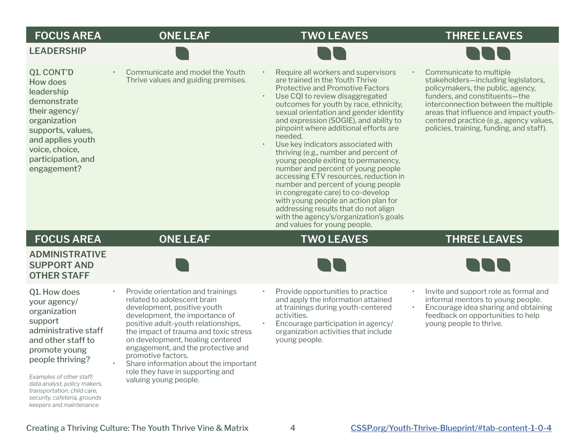| <b>FOCUS AREA</b><br><b>LEADERSHIP</b>                                                                                                                                                                                                | <b>ONE LEAF</b>                                                                                                                                                                                                                                                                                                                                                                                                         | <b>TWO LEAVES</b>                                                                                                                                                                                                                                                                                                                                                                                                                                                                                                                                                                                                                                                                                                                                                                | <b>THREE LEAVES</b>                                                                                                                                                                                                                                                                                           |
|---------------------------------------------------------------------------------------------------------------------------------------------------------------------------------------------------------------------------------------|-------------------------------------------------------------------------------------------------------------------------------------------------------------------------------------------------------------------------------------------------------------------------------------------------------------------------------------------------------------------------------------------------------------------------|----------------------------------------------------------------------------------------------------------------------------------------------------------------------------------------------------------------------------------------------------------------------------------------------------------------------------------------------------------------------------------------------------------------------------------------------------------------------------------------------------------------------------------------------------------------------------------------------------------------------------------------------------------------------------------------------------------------------------------------------------------------------------------|---------------------------------------------------------------------------------------------------------------------------------------------------------------------------------------------------------------------------------------------------------------------------------------------------------------|
| Q1. CONT'D<br>How does<br>leadership<br>demonstrate<br>their agency/<br>organization<br>supports, values,<br>and applies youth<br>voice, choice,<br>participation, and<br>engagement?                                                 | Communicate and model the Youth<br>Thrive values and guiding premises.                                                                                                                                                                                                                                                                                                                                                  | Require all workers and supervisors<br>are trained in the Youth Thrive<br><b>Protective and Promotive Factors</b><br>Use CQI to review disaggregated<br>outcomes for youth by race, ethnicity,<br>sexual orientation and gender identity<br>and expression (SOGIE), and ability to<br>pinpoint where additional efforts are<br>needed.<br>Use key indicators associated with<br>thriving (e.g., number and percent of<br>young people exiting to permanency,<br>number and percent of young people<br>accessing ETV resources, reduction in<br>number and percent of young people<br>in congregate care) to co-develop<br>with young people an action plan for<br>addressing results that do not align<br>with the agency's/organization's goals<br>and values for young people. | Communicate to multiple<br>stakeholders-including legislators,<br>policymakers, the public, agency,<br>funders, and constituents-the<br>interconnection between the multiple<br>areas that influence and impact youth-<br>centered practice (e.g., agency values,<br>policies, training, funding, and staff). |
| <b>FOCUS AREA</b>                                                                                                                                                                                                                     | <b>ONE LEAF</b>                                                                                                                                                                                                                                                                                                                                                                                                         | <b>TWO LEAVES</b>                                                                                                                                                                                                                                                                                                                                                                                                                                                                                                                                                                                                                                                                                                                                                                | <b>THREE LEAVES</b>                                                                                                                                                                                                                                                                                           |
| <b>ADMINISTRATIVE</b><br><b>SUPPORT AND</b><br><b>OTHER STAFF</b>                                                                                                                                                                     |                                                                                                                                                                                                                                                                                                                                                                                                                         |                                                                                                                                                                                                                                                                                                                                                                                                                                                                                                                                                                                                                                                                                                                                                                                  |                                                                                                                                                                                                                                                                                                               |
| Q1. How does<br>your agency/<br>organization<br>support<br>administrative staff<br>and other staff to<br>promote young<br>people thriving?<br>Examples of other staff:<br>data analyst, policy makers,<br>transportation, child care, | Provide orientation and trainings<br>related to adolescent brain<br>development, positive youth<br>development, the importance of<br>positive adult-youth relationships,<br>the impact of trauma and toxic stress<br>on development, healing centered<br>engagement, and the protective and<br>promotive factors.<br>Share information about the important<br>role they have in supporting and<br>valuing young people. | Provide opportunities to practice<br>$\bullet$<br>and apply the information attained<br>at trainings during youth-centered<br>activities.<br>Encourage participation in agency/<br>organization activities that include<br>young people.                                                                                                                                                                                                                                                                                                                                                                                                                                                                                                                                         | Invite and support role as formal and<br>$\bullet$ .<br>informal mentors to young people.<br>Encourage idea sharing and obtaining<br>$\bullet$<br>feedback on opportunities to help<br>young people to thrive.                                                                                                |

Creating a Thriving Culture: The Youth Thrive Vine & Matrix 4 [CSSP.org/Youth-Thrive-Blueprint/#tab-content-1-0-4](http://CSSP.org/Youth-Thrive-Blueprint/#tab-content-1-0-4)

*security, cafeteria, grounds keepers and maintenance*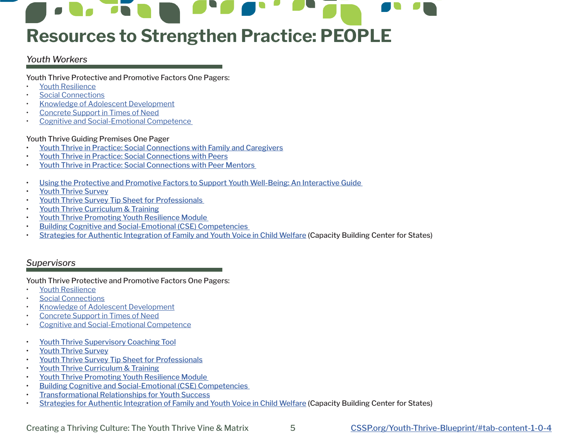# **Resources to Strengthen Practice: PEOPLE**

### *Youth Workers*

Youth Thrive Protective and Promotive Factors One Pagers:

- [Youth Resilience](https://cssp.org/resource/yt-youth-resilience/)
- **[Social Connections](https://cssp.org/resource/yt-social-connections/)**
- [Knowledge of Adolescent Development](https://cssp.org/resource/yt-knowledge-of-adolescent-development/)
- [Concrete Support in Times of Need](https://cssp.org/resource/yt-concrete-support-in-times-of-need/)
- [Cognitive and Social-Emotional Competence](https://cssp.org/resource/yt-cognitive-and-social-emotional-competence-in-youth/)

### Youth Thrive Guiding Premises One Pager

- [Youth Thrive in Practice: Social Connections with Family and Caregivers](https://cssp.org/wp-content/uploads/2021/10/YT-Blueprint-Social-Connections-with-Family-and-Caregivers.pdf)
- [Youth Thrive in Practice: Social Connections with Peers](https://cssp.org/wp-content/uploads/2021/10/YT-Blueprint-Social-Connections-Young-People-and-Peers.pdf)
- [Youth Thrive in Practice: Social Connections with Peer Mentors](https://cssp.org/wp-content/uploads/2021/10/YT-Blueprint-Social-Connections-Young-People-and-Peer-Mentors.pdf)
- [Using the Protective and Promotive Factors to Support Youth Well-Being: An Interactive Guide](https://cssp.org/resource/interactive-guide-protective-promotive-factors/)
- [Youth Thrive Survey](https://cssp.org/our-work/project/youth-thrive/#survey-instrument)
- [Youth Thrive Survey Tip Sheet for Professionals](https://cssp.org/resource/youth-thrive-survey-tip-sheet/)
- [Youth Thrive Curriculum & Training](https://cssp.org/our-work/project/youth-thrive/#training)
- [Youth Thrive Promoting Youth Resilience Module](https://cssp.org/resource/youth-thrive-promoting-youth-resilience/)
- [Building Cognitive and Social-Emotional \(CSE\) Competencies](https://cssp.org/cognitive-and-social-emotional-development-module/)
- [Strategies for Authentic Integration of Family and Youth Voice in Child Welfare](https://library.childwelfare.gov/cwig/ws/library/docs/capacity/Blob/123715.pdf?r=1&rpp=10&upp=0&w=+NATIVE(%27recno=123715%27)&m=1) (Capacity Building Center for States)

### *Supervisors*

Youth Thrive Protective and Promotive Factors One Pagers:

- [Youth Resilience](https://cssp.org/resource/yt-youth-resilience/)
- [Social Connections](https://cssp.org/resource/yt-social-connections/)
- [Knowledge of Adolescent Development](https://cssp.org/resource/yt-knowledge-of-adolescent-development/)
- [Concrete Support in Times of Need](https://cssp.org/resource/yt-concrete-support-in-times-of-need/)
- [Cognitive and Social-Emotional Competence](https://cssp.org/resource/yt-cognitive-and-social-emotional-competence-in-youth/)
- [Youth Thrive Supervisory Coaching Tool](https://cssp.org/youth-thrive-coaching-tool/)
- [Youth Thrive Survey](https://cssp.org/our-work/project/youth-thrive/#survey-instrument)
- Youth Thrive Survey Tip Sheet for Professionals
- [Youth Thrive Curriculum & Training](https://cssp.org/our-work/project/youth-thrive/#training)
- [Youth Thrive Promoting Youth Resilience Module](https://cssp.org/resource/youth-thrive-survey-tip-sheet/)
- [Building Cognitive and Social-Emotional \(CSE\) Competencies](https://cssp.org/cognitive-and-social-emotional-development-module/)
- [Transformational Relationships for Youth Success](https://cssp.org/cognitive-and-social-emotional-development-module/)
- [Strategies for Authentic Integration of Family and Youth Voice in Child Welfare](https://library.childwelfare.gov/cwig/ws/library/docs/capacity/Blob/123715.pdf?r=1&rpp=10&upp=0&w=+NATIVE(%27recno=123715%27)&m=1) (Capacity Building Center for States)